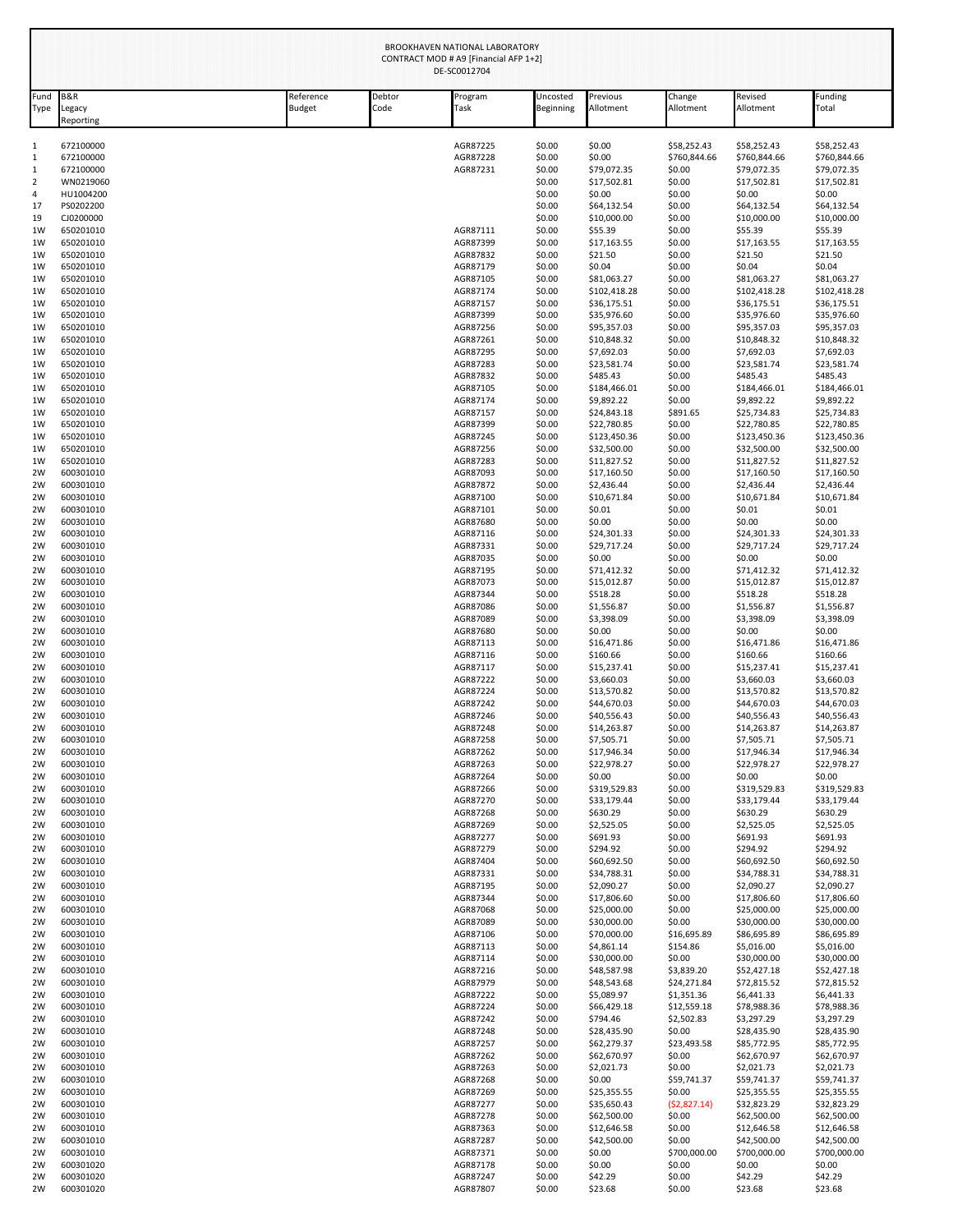|              | BROOKHAVEN NATIONAL LABORATORY<br>CONTRACT MOD # A9 [Financial AFP 1+2]<br>DE-SC0012704 |                            |                |                      |                       |                             |                           |                             |                             |
|--------------|-----------------------------------------------------------------------------------------|----------------------------|----------------|----------------------|-----------------------|-----------------------------|---------------------------|-----------------------------|-----------------------------|
| Fund<br>Type | <b>B&amp;R</b><br>Legacy<br>Reporting                                                   | Reference<br><b>Budget</b> | Debtor<br>Code | Program<br>Task      | Uncosted<br>Beginning | Previous<br>Allotment       | Change<br>Allotment       | Revised<br>Allotment        | Funding<br>Total            |
| 1            | 672100000                                                                               |                            |                | AGR87225             | \$0.00                | \$0.00                      | \$58,252.43               | \$58,252.43                 | \$58,252.43                 |
| 1            | 672100000                                                                               |                            |                | AGR87228             | \$0.00                | \$0.00                      | \$760,844.66              | \$760,844.66                | \$760,844.66                |
| 1<br>2       | 672100000<br>WN0219060                                                                  |                            |                | AGR87231             | \$0.00<br>\$0.00      | \$79,072.35<br>\$17,502.81  | \$0.00<br>\$0.00          | \$79,072.35<br>\$17,502.81  | \$79,072.35<br>\$17,502.81  |
| 4            | HU1004200                                                                               |                            |                |                      | \$0.00                | \$0.00                      | \$0.00                    | \$0.00                      | \$0.00                      |
| 17           | PS0202200                                                                               |                            |                |                      | \$0.00                | \$64,132.54                 | \$0.00                    | \$64,132.54                 | \$64,132.54                 |
| 19           | CJ0200000                                                                               |                            |                |                      | \$0.00                | \$10,000.00                 | \$0.00                    | \$10,000.00                 | \$10,000.00                 |
| 1W<br>1W     | 650201010<br>650201010                                                                  |                            |                | AGR87111<br>AGR87399 | \$0.00<br>\$0.00      | \$55.39<br>\$17,163.55      | \$0.00<br>\$0.00          | \$55.39<br>\$17,163.55      | \$55.39<br>\$17,163.55      |
| 1W           | 650201010                                                                               |                            |                | AGR87832             | \$0.00                | \$21.50                     | \$0.00                    | \$21.50                     | \$21.50                     |
| 1W           | 650201010                                                                               |                            |                | AGR87179             | \$0.00                | \$0.04                      | \$0.00                    | \$0.04                      | \$0.04                      |
| 1W           | 650201010                                                                               |                            |                | AGR87105             | \$0.00                | \$81,063.27                 | \$0.00                    | \$81,063.27                 | \$81,063.27                 |
| 1W<br>1W     | 650201010<br>650201010                                                                  |                            |                | AGR87174<br>AGR87157 | \$0.00<br>\$0.00      | \$102,418.28<br>\$36,175.51 | \$0.00<br>\$0.00          | \$102,418.28<br>\$36,175.51 | \$102,418.28<br>\$36,175.51 |
| 1W           | 650201010                                                                               |                            |                | AGR87399             | \$0.00                | \$35,976.60                 | \$0.00                    | \$35,976.60                 | \$35,976.60                 |
| 1W           | 650201010                                                                               |                            |                | AGR87256             | \$0.00                | \$95,357.03                 | \$0.00                    | \$95,357.03                 | \$95,357.03                 |
| 1W           | 650201010                                                                               |                            |                | AGR87261             | \$0.00<br>\$0.00      | \$10,848.32<br>\$7,692.03   | \$0.00<br>\$0.00          | \$10,848.32                 | \$10,848.32<br>\$7,692.03   |
| 1W<br>1W     | 650201010<br>650201010                                                                  |                            |                | AGR87295<br>AGR87283 | \$0.00                | \$23,581.74                 | \$0.00                    | \$7,692.03<br>\$23,581.74   | \$23,581.74                 |
| 1W           | 650201010                                                                               |                            |                | AGR87832             | \$0.00                | \$485.43                    | \$0.00                    | \$485.43                    | \$485.43                    |
| 1W           | 650201010                                                                               |                            |                | AGR87105             | \$0.00                | \$184,466.01                | \$0.00                    | \$184,466.01                | \$184,466.01                |
| 1W<br>1W     | 650201010<br>650201010                                                                  |                            |                | AGR87174<br>AGR87157 | \$0.00<br>\$0.00      | \$9,892.22<br>\$24,843.18   | \$0.00<br>\$891.65        | \$9,892.22<br>\$25,734.83   | \$9,892.22<br>\$25,734.83   |
| 1W           | 650201010                                                                               |                            |                | AGR87399             | \$0.00                | \$22,780.85                 | \$0.00                    | \$22,780.85                 | \$22,780.85                 |
| 1W           | 650201010                                                                               |                            |                | AGR87245             | \$0.00                | \$123,450.36                | \$0.00                    | \$123,450.36                | \$123,450.36                |
| 1W           | 650201010                                                                               |                            |                | AGR87256             | \$0.00                | \$32,500.00                 | \$0.00                    | \$32,500.00                 | \$32,500.00                 |
| 1W<br>2W     | 650201010<br>600301010                                                                  |                            |                | AGR87283<br>AGR87093 | \$0.00<br>\$0.00      | \$11,827.52<br>\$17,160.50  | \$0.00<br>\$0.00          | \$11,827.52<br>\$17,160.50  | \$11,827.52<br>\$17,160.50  |
| 2W           | 600301010                                                                               |                            |                | AGR87872             | \$0.00                | \$2,436.44                  | \$0.00                    | \$2,436.44                  | \$2,436.44                  |
| 2W           | 600301010                                                                               |                            |                | AGR87100             | \$0.00                | \$10,671.84                 | \$0.00                    | \$10,671.84                 | \$10,671.84                 |
| 2W<br>2W     | 600301010<br>600301010                                                                  |                            |                | AGR87101<br>AGR87680 | \$0.00<br>\$0.00      | \$0.01<br>\$0.00            | \$0.00<br>\$0.00          | \$0.01<br>\$0.00            | \$0.01<br>\$0.00            |
| 2W           | 600301010                                                                               |                            |                | AGR87116             | \$0.00                | \$24,301.33                 | \$0.00                    | \$24,301.33                 | \$24,301.33                 |
| 2W           | 600301010                                                                               |                            |                | AGR87331             | \$0.00                | \$29,717.24                 | \$0.00                    | \$29,717.24                 | \$29,717.24                 |
| 2W           | 600301010                                                                               |                            |                | AGR87035             | \$0.00                | \$0.00                      | \$0.00                    | \$0.00                      | \$0.00                      |
| 2W<br>2W     | 600301010<br>600301010                                                                  |                            |                | AGR87195<br>AGR87073 | \$0.00<br>\$0.00      | \$71,412.32<br>\$15,012.87  | \$0.00<br>\$0.00          | \$71,412.32<br>\$15,012.87  | \$71,412.32<br>\$15,012.87  |
| 2W           | 600301010                                                                               |                            |                | AGR87344             | \$0.00                | \$518.28                    | \$0.00                    | \$518.28                    | \$518.28                    |
| 2W           | 600301010                                                                               |                            |                | AGR87086             | \$0.00                | \$1,556.87                  | \$0.00                    | \$1,556.87                  | \$1,556.87                  |
| 2W           | 600301010                                                                               |                            |                | AGR87089             | \$0.00                | \$3,398.09                  | \$0.00                    | \$3,398.09                  | \$3,398.09                  |
| 2W<br>2W     | 600301010<br>600301010                                                                  |                            |                | AGR87680<br>AGR87113 | \$0.00<br>\$0.00      | \$0.00<br>\$16,471.86       | \$0.00<br>\$0.00          | \$0.00<br>\$16,471.86       | \$0.00<br>\$16,471.86       |
| 2W           | 600301010                                                                               |                            |                | AGR87116             | \$0.00                | \$160.66                    | \$0.00                    | \$160.66                    | \$160.66                    |
| 2W           | 600301010                                                                               |                            |                | AGR87117             | \$0.00                | \$15,237.41                 | \$0.00                    | \$15,237.41                 | \$15,237.41                 |
| 2W           | 600301010                                                                               |                            |                | AGR87222<br>AGR87224 | \$0.00                | \$3,660.03                  | \$0.00                    | \$3,660.03                  | \$3,660.03                  |
| 2W<br>2W     | 600301010<br>600301010                                                                  |                            |                | AGR87242             | \$0.00<br>\$0.00      | \$13,570.82<br>\$44,670.03  | \$0.00<br>\$0.00          | \$13,570.82<br>\$44,670.03  | \$13,570.82<br>\$44,670.03  |
| 2W           | 600301010                                                                               |                            |                | AGR87246             | \$0.00                | \$40,556.43                 | \$0.00                    | \$40,556.43                 | \$40,556.43                 |
| 2W           | 600301010                                                                               |                            |                | AGR87248             | \$0.00                | \$14,263.87                 | \$0.00                    | \$14,263.87                 | \$14,263.87                 |
| 2W<br>2W     | 600301010<br>600301010                                                                  |                            |                | AGR87258<br>AGR87262 | \$0.00<br>\$0.00      | \$7,505.71<br>\$17,946.34   | \$0.00<br>\$0.00          | \$7,505.71<br>\$17,946.34   | \$7,505.71<br>\$17,946.34   |
| 2W           | 600301010                                                                               |                            |                | AGR87263             | \$0.00                | \$22,978.27                 | \$0.00                    | \$22,978.27                 | \$22,978.27                 |
| 2W           | 600301010                                                                               |                            |                | AGR87264             | \$0.00                | \$0.00                      | \$0.00                    | \$0.00                      | \$0.00                      |
| 2W           | 600301010<br>600301010                                                                  |                            |                | AGR87266             | \$0.00                | \$319,529.83                | \$0.00                    | \$319,529.83                | \$319,529.83                |
| 2W<br>2W     | 600301010                                                                               |                            |                | AGR87270<br>AGR87268 | \$0.00<br>\$0.00      | \$33,179.44<br>\$630.29     | \$0.00<br>\$0.00          | \$33,179.44<br>\$630.29     | \$33,179.44<br>\$630.29     |
| 2W           | 600301010                                                                               |                            |                | AGR87269             | \$0.00                | \$2,525.05                  | \$0.00                    | \$2,525.05                  | \$2,525.05                  |
| 2W           | 600301010                                                                               |                            |                | AGR87277             | \$0.00                | \$691.93                    | \$0.00                    | \$691.93                    | \$691.93                    |
| 2W<br>2W     | 600301010<br>600301010                                                                  |                            |                | AGR87279<br>AGR87404 | \$0.00<br>\$0.00      | \$294.92<br>\$60,692.50     | \$0.00<br>\$0.00          | \$294.92<br>\$60,692.50     | \$294.92<br>\$60,692.50     |
| 2W           | 600301010                                                                               |                            |                | AGR87331             | \$0.00                | \$34,788.31                 | \$0.00                    | \$34,788.31                 | \$34,788.31                 |
| 2W           | 600301010                                                                               |                            |                | AGR87195             | \$0.00                | \$2,090.27                  | \$0.00                    | \$2,090.27                  | \$2,090.27                  |
| 2W           | 600301010                                                                               |                            |                | AGR87344             | \$0.00                | \$17,806.60                 | \$0.00                    | \$17,806.60                 | \$17,806.60                 |
| 2W<br>2W     | 600301010<br>600301010                                                                  |                            |                | AGR87068<br>AGR87089 | \$0.00<br>\$0.00      | \$25,000.00<br>\$30,000.00  | \$0.00<br>\$0.00          | \$25,000.00<br>\$30,000.00  | \$25,000.00<br>\$30,000.00  |
| 2W           | 600301010                                                                               |                            |                | AGR87106             | \$0.00                | \$70,000.00                 | \$16,695.89               | \$86,695.89                 | \$86,695.89                 |
| 2W           | 600301010                                                                               |                            |                | AGR87113             | \$0.00                | \$4,861.14                  | \$154.86                  | \$5,016.00                  | \$5,016.00                  |
| 2W<br>2W     | 600301010<br>600301010                                                                  |                            |                | AGR87114<br>AGR87216 | \$0.00<br>\$0.00      | \$30,000.00<br>\$48,587.98  | \$0.00                    | \$30,000.00                 | \$30,000.00                 |
| 2W           | 600301010                                                                               |                            |                | AGR87979             | \$0.00                | \$48,543.68                 | \$3,839.20<br>\$24,271.84 | \$52,427.18<br>\$72,815.52  | \$52,427.18<br>\$72,815.52  |
| 2W           | 600301010                                                                               |                            |                | AGR87222             | \$0.00                | \$5,089.97                  | \$1,351.36                | \$6,441.33                  | \$6,441.33                  |
| 2W           | 600301010                                                                               |                            |                | AGR87224             | \$0.00                | \$66,429.18                 | \$12,559.18               | \$78,988.36                 | \$78,988.36                 |
| 2W<br>2W     | 600301010<br>600301010                                                                  |                            |                | AGR87242             | \$0.00                | \$794.46                    | \$2,502.83<br>\$0.00      | \$3,297.29                  | \$3,297.29<br>\$28,435.90   |
| 2W           | 600301010                                                                               |                            |                | AGR87248<br>AGR87257 | \$0.00<br>\$0.00      | \$28,435.90<br>\$62,279.37  | \$23,493.58               | \$28,435.90<br>\$85,772.95  | \$85,772.95                 |
| 2W           | 600301010                                                                               |                            |                | AGR87262             | \$0.00                | \$62,670.97                 | \$0.00                    | \$62,670.97                 | \$62,670.97                 |
| 2W           | 600301010                                                                               |                            |                | AGR87263             | \$0.00                | \$2,021.73                  | \$0.00                    | \$2,021.73                  | \$2,021.73                  |
| 2W<br>2W     | 600301010<br>600301010                                                                  |                            |                | AGR87268<br>AGR87269 | \$0.00<br>\$0.00      | \$0.00                      | \$59,741.37<br>\$0.00     | \$59,741.37                 | \$59,741.37<br>\$25,355.55  |
| 2W           | 600301010                                                                               |                            |                | AGR87277             | \$0.00                | \$25,355.55<br>\$35,650.43  | (52,827.14)               | \$25,355.55<br>\$32,823.29  | \$32,823.29                 |
| 2W           | 600301010                                                                               |                            |                | AGR87278             | \$0.00                | \$62,500.00                 | \$0.00                    | \$62,500.00                 | \$62,500.00                 |
| 2W           | 600301010                                                                               |                            |                | AGR87363             | \$0.00                | \$12,646.58                 | \$0.00                    | \$12,646.58                 | \$12,646.58                 |
| 2W<br>2W     | 600301010<br>600301010                                                                  |                            |                | AGR87287<br>AGR87371 | \$0.00<br>\$0.00      | \$42,500.00<br>\$0.00       | \$0.00<br>\$700,000.00    | \$42,500.00<br>\$700,000.00 | \$42,500.00<br>\$700,000.00 |
| 2W           | 600301020                                                                               |                            |                | AGR87178             | \$0.00                | \$0.00                      | \$0.00                    | \$0.00                      | \$0.00                      |
| 2W           | 600301020                                                                               |                            |                | AGR87247             | \$0.00                | \$42.29                     | \$0.00                    | \$42.29                     | \$42.29                     |
| 2W           | 600301020                                                                               |                            |                | AGR87807             | \$0.00                | \$23.68                     | \$0.00                    | \$23.68                     | \$23.68                     |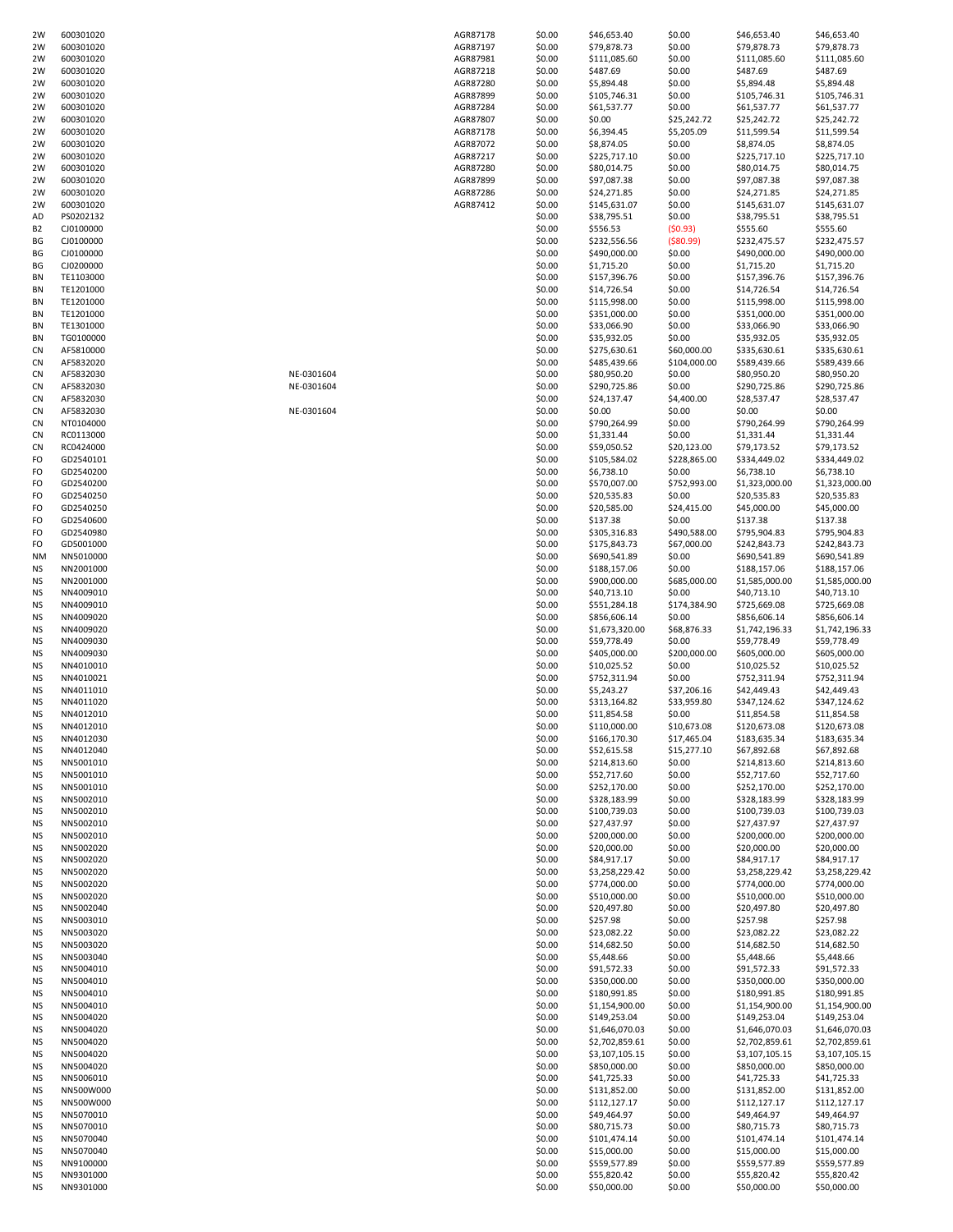| 2W              | 600301020              |            | AGR87178 | \$0.00           | \$46,653.40                      | \$0.00           | \$46,653.40                 | \$46,653.40                    |
|-----------------|------------------------|------------|----------|------------------|----------------------------------|------------------|-----------------------------|--------------------------------|
| 2W              | 600301020              |            | AGR87197 | \$0.00           | \$79,878.73                      | \$0.00           | \$79,878.73                 | \$79,878.73                    |
| 2W              | 600301020              |            | AGR87981 | \$0.00           | \$111,085.60                     | \$0.00           | \$111,085.60                | \$111,085.60                   |
| 2W              | 600301020              |            | AGR87218 | \$0.00           | \$487.69                         | \$0.00           | \$487.69                    | \$487.69                       |
| 2W              | 600301020              |            | AGR87280 | \$0.00           | \$5,894.48                       | \$0.00           | \$5,894.48                  | \$5,894.48                     |
| 2W              | 600301020              |            | AGR87899 | \$0.00           | \$105,746.31                     | \$0.00           | \$105,746.31                | \$105,746.31                   |
| 2W              | 600301020              |            | AGR87284 | \$0.00           | \$61,537.77                      | \$0.00           | \$61,537.77                 | \$61,537.77                    |
| 2W              | 600301020              |            | AGR87807 | \$0.00           | \$0.00                           | \$25,242.72      | \$25,242.72                 | \$25,242.72                    |
| 2W              | 600301020              |            | AGR87178 | \$0.00           | \$6,394.45                       | \$5,205.09       | \$11,599.54                 | \$11,599.54                    |
| 2W              | 600301020              |            | AGR87072 | \$0.00           | \$8,874.05                       | \$0.00           | \$8,874.05                  | \$8,874.05                     |
| 2W              | 600301020              |            | AGR87217 | \$0.00           | \$225,717.10                     | \$0.00           | \$225,717.10                | \$225,717.10                   |
| 2W              | 600301020              |            | AGR87280 | \$0.00           | \$80,014.75                      | \$0.00           | \$80,014.75                 | \$80,014.75                    |
| 2W              | 600301020              |            | AGR87899 | \$0.00           | \$97,087.38                      | \$0.00           | \$97,087.38                 | \$97,087.38                    |
| 2W              | 600301020              |            | AGR87286 | \$0.00           | \$24,271.85                      | \$0.00           | \$24,271.85                 | \$24,271.85                    |
| 2W              | 600301020              |            | AGR87412 | \$0.00           | \$145,631.07                     | \$0.00           | \$145,631.07                | \$145,631.07                   |
| AD              | PS0202132              |            |          | \$0.00           | \$38,795.51                      | \$0.00           | \$38,795.51                 | \$38,795.51                    |
| B <sub>2</sub>  | CJ0100000              |            |          | \$0.00           | \$556.53                         | (50.93)          | \$555.60                    | \$555.60                       |
| ΒG              | CJ0100000              |            |          | \$0.00           | \$232,556.56                     | ( \$80.99)       | \$232,475.57                | \$232,475.57                   |
| ВG              | CJ0100000              |            |          | \$0.00           | \$490,000.00                     | \$0.00           | \$490,000.00                | \$490,000.00                   |
| BG              | CJ0200000              |            |          | \$0.00           | \$1,715.20                       | \$0.00           | \$1,715.20                  | \$1,715.20                     |
| ΒN              | TE1103000              |            |          | \$0.00           | \$157,396.76                     | \$0.00           | \$157,396.76                | \$157,396.76                   |
| BN              | TE1201000              |            |          | \$0.00           | \$14,726.54                      | \$0.00           | \$14,726.54                 | \$14,726.54                    |
| BN              | TE1201000              |            |          | \$0.00           | \$115,998.00                     | \$0.00           | \$115,998.00                | \$115,998.00                   |
| ΒN              | TE1201000              |            |          | \$0.00           | \$351,000.00                     | \$0.00           | \$351,000.00                | \$351,000.00                   |
| ΒN              | TE1301000              |            |          | \$0.00           | \$33,066.90                      | \$0.00           | \$33,066.90                 | \$33,066.90                    |
| BN              | TG0100000              |            |          | \$0.00           | \$35,932.05                      | \$0.00           | \$35,932.05                 | \$35,932.05                    |
| <b>CN</b>       | AF5810000              |            |          | \$0.00           | \$275,630.61                     | \$60,000.00      | \$335,630.61                | \$335,630.61                   |
| <b>CN</b>       | AF5832020              |            |          | \$0.00           | \$485,439.66                     | \$104,000.00     | \$589,439.66                | \$589,439.66                   |
| <b>CN</b>       | AF5832030              | NE-0301604 |          | \$0.00           | \$80,950.20                      | \$0.00           | \$80,950.20                 | \$80,950.20                    |
| <b>CN</b>       | AF5832030              | NE-0301604 |          | \$0.00           | \$290,725.86                     | \$0.00           | \$290,725.86                | \$290,725.86                   |
| <b>CN</b>       | AF5832030              |            |          | \$0.00           | \$24,137.47                      | \$4,400.00       | \$28,537.47                 | \$28,537.47                    |
| <b>CN</b>       | AF5832030              | NE-0301604 |          | \$0.00           | \$0.00                           | \$0.00           | \$0.00                      | \$0.00                         |
| <b>CN</b>       | NT0104000              |            |          | \$0.00           | \$790,264.99                     | \$0.00           | \$790,264.99                | \$790,264.99                   |
| <b>CN</b>       | RC0113000              |            |          | \$0.00           | \$1,331.44                       | \$0.00           | \$1,331.44                  | \$1,331.44                     |
| <b>CN</b>       | RC0424000              |            |          | \$0.00           | \$59,050.52                      | \$20,123.00      | \$79,173.52                 | \$79,173.52                    |
| FO              | GD2540101              |            |          | \$0.00           | \$105,584.02                     | \$228,865.00     | \$334,449.02                | \$334,449.02                   |
| FO              | GD2540200              |            |          | \$0.00           | \$6,738.10                       | \$0.00           | \$6,738.10                  | \$6,738.10                     |
| FO              | GD2540200              |            |          | \$0.00           | \$570,007.00                     | \$752,993.00     | \$1,323,000.00              | \$1,323,000.00                 |
| FO              | GD2540250              |            |          | \$0.00           | \$20,535.83                      | \$0.00           | \$20,535.83                 | \$20,535.83                    |
| FO              | GD2540250              |            |          | \$0.00           | \$20,585.00                      | \$24,415.00      | \$45,000.00                 | \$45,000.00                    |
| FO              | GD2540600              |            |          | \$0.00           | \$137.38                         | \$0.00           | \$137.38                    | \$137.38                       |
| FO              | GD2540980              |            |          | \$0.00           | \$305,316.83                     | \$490,588.00     | \$795,904.83                | \$795,904.83                   |
| FO              | GD5001000              |            |          | \$0.00           | \$175,843.73                     | \$67,000.00      | \$242,843.73                | \$242,843.73                   |
| NM              | NN5010000              |            |          | \$0.00           | \$690,541.89                     | \$0.00           | \$690,541.89                | \$690,541.89                   |
| ΝS              | NN2001000              |            |          | \$0.00           | \$188,157.06                     | \$0.00           | \$188,157.06                | \$188,157.06                   |
| NS              | NN2001000              |            |          | \$0.00           | \$900,000.00                     | \$685,000.00     | \$1,585,000.00              | \$1,585,000.00                 |
| ΝS              | NN4009010              |            |          | \$0.00           | \$40,713.10                      | \$0.00           | \$40,713.10                 | \$40,713.10                    |
| ΝS              | NN4009010              |            |          | \$0.00           | \$551,284.18                     | \$174,384.90     | \$725,669.08                | \$725,669.08                   |
| ΝS              | NN4009020              |            |          | \$0.00           | \$856,606.14                     | \$0.00           | \$856,606.14                | \$856,606.14                   |
| <b>NS</b>       | NN4009020              |            |          | \$0.00           | \$1,673,320.00                   | \$68,876.33      | \$1,742,196.33              | \$1,742,196.33                 |
| ΝS              | NN4009030              |            |          | \$0.00           | \$59,778.49                      | \$0.00           | \$59,778.49                 | \$59,778.49                    |
| ΝS              | NN4009030              |            |          | \$0.00           | \$405,000.00                     | \$200,000.00     | \$605,000.00                | \$605,000.00                   |
| NS              | NN4010010              |            |          | \$0.00           | \$10,025.52                      | \$0.00           | \$10,025.52                 | \$10,025.52                    |
| ΝS              | NN4010021              |            |          | \$0.00           | \$752,311.94                     | \$0.00           | \$752,311.94                | \$752,311.94                   |
| ΝS              | NN4011010              |            |          | \$0.00           | \$5,243.27                       | \$37,206.16      | \$42,449.43                 | \$42,449.43                    |
| NS              | NN4011020              |            |          | \$0.00           | \$313,164.82                     | \$33,959.80      | \$347,124.62                | \$347,124.62                   |
| <b>NS</b>       | NN4012010              |            |          | \$0.00           | \$11,854.58                      | \$0.00           | \$11,854.58                 | \$11,854.58                    |
| NS              | NN4012010              |            |          | \$0.00           | \$110,000.00                     | \$10,673.08      | \$120,673.08                | \$120,673.08                   |
| NS              | NN4012030              |            |          | \$0.00           | \$166,170.30                     | \$17,465.04      | \$183,635.34                | \$183,635.34                   |
| <b>NS</b>       | NN4012040              |            |          | \$0.00           | \$52,615.58                      | \$15,277.10      | \$67,892.68                 | \$67,892.68                    |
| <b>NS</b>       | NN5001010              |            |          | \$0.00           | \$214,813.60                     | \$0.00           | \$214,813.60                | \$214,813.60                   |
| NS              | NN5001010              |            |          | \$0.00           | \$52,717.60                      | \$0.00           | \$52,717.60                 | \$52,717.60                    |
| NS              | NN5001010              |            |          | \$0.00           | \$252,170.00                     | \$0.00           | \$252,170.00                | \$252,170.00                   |
| NS              | NN5002010              |            |          | \$0.00           | \$328,183.99                     | \$0.00           | \$328,183.99                | \$328,183.99                   |
| <b>NS</b>       | NN5002010              |            |          | \$0.00           | \$100,739.03                     | \$0.00           | \$100,739.03                | \$100,739.03                   |
| ΝS              | NN5002010              |            |          | \$0.00           | \$27,437.97                      | \$0.00           | \$27,437.97                 | \$27,437.97                    |
| ΝS              | NN5002010              |            |          | \$0.00           | \$200,000.00                     | \$0.00           | \$200,000.00                | \$200,000.00                   |
| <b>NS</b>       | NN5002020              |            |          | \$0.00           | \$20,000.00                      | \$0.00           | \$20,000.00                 | \$20,000.00                    |
| ΝS              | NN5002020              |            |          | \$0.00           | \$84,917.17                      | \$0.00           | \$84,917.17                 | \$84,917.17                    |
| <b>NS</b>       | NN5002020              |            |          | \$0.00           | \$3,258,229.42                   | \$0.00           | \$3,258,229.42              | \$3,258,229.42                 |
| ΝS              | NN5002020              |            |          | \$0.00           | \$774,000.00                     | \$0.00           | \$774,000.00                | \$774,000.00                   |
| ΝS              | NN5002020              |            |          | \$0.00           | \$510,000.00                     | \$0.00           | \$510,000.00                | \$510,000.00                   |
| <b>NS</b>       | NN5002040              |            |          | \$0.00           | \$20,497.80                      | \$0.00           | \$20,497.80                 | \$20,497.80                    |
| ΝS              | NN5003010              |            |          | \$0.00           | \$257.98                         | \$0.00           | \$257.98                    | \$257.98                       |
| <b>NS</b>       | NN5003020              |            |          | \$0.00           | \$23,082.22                      | \$0.00           | \$23,082.22                 | \$23,082.22                    |
| ΝS              | NN5003020              |            |          | \$0.00           | \$14,682.50                      | \$0.00           | \$14,682.50                 | \$14,682.50                    |
| ΝS              | NN5003040              |            |          | \$0.00           | \$5,448.66                       | \$0.00           | \$5,448.66                  | \$5,448.66                     |
| <b>NS</b>       | NN5004010              |            |          | \$0.00           | \$91,572.33                      | \$0.00           | \$91,572.33                 | \$91,572.33                    |
| ΝS              | NN5004010              |            |          | \$0.00           | \$350,000.00                     | \$0.00           | \$350,000.00                | \$350,000.00                   |
| <b>NS</b>       | NN5004010              |            |          | \$0.00           | \$180,991.85                     | \$0.00           | \$180,991.85                | \$180,991.85                   |
| <b>NS</b>       | NN5004010              |            |          | \$0.00           | \$1,154,900.00                   | \$0.00           | \$1,154,900.00              | \$1,154,900.00                 |
| ΝS<br><b>NS</b> | NN5004020<br>NN5004020 |            |          | \$0.00<br>\$0.00 | \$149,253.04                     | \$0.00<br>\$0.00 | \$149,253.04                | \$149,253.04<br>\$1,646,070.03 |
| <b>NS</b>       |                        |            |          |                  | \$1,646,070.03<br>\$2,702,859.61 |                  | \$1,646,070.03              | \$2,702,859.61                 |
| <b>NS</b>       | NN5004020              |            |          | \$0.00           |                                  | \$0.00           | \$2,702,859.61              |                                |
|                 | NN5004020<br>NN5004020 |            |          | \$0.00<br>\$0.00 | \$3,107,105.15                   | \$0.00           | \$3,107,105.15              | \$3,107,105.15                 |
| ΝS<br>ΝS        | NN5006010              |            |          | \$0.00           | \$850,000.00<br>\$41,725.33      | \$0.00<br>\$0.00 | \$850,000.00<br>\$41,725.33 | \$850,000.00<br>\$41,725.33    |
| <b>NS</b>       | NN500W000              |            |          | \$0.00           | \$131,852.00                     | \$0.00           | \$131,852.00                | \$131,852.00                   |
| ΝS              | NN500W000              |            |          | \$0.00           | \$112,127.17                     | \$0.00           | \$112,127.17                | \$112,127.17                   |
| <b>NS</b>       | NN5070010              |            |          | \$0.00           | \$49,464.97                      | \$0.00           | \$49,464.97                 | \$49,464.97                    |
| <b>NS</b>       | NN5070010              |            |          | \$0.00           | \$80,715.73                      | \$0.00           | \$80,715.73                 | \$80,715.73                    |
| ΝS              | NN5070040              |            |          | \$0.00           | \$101,474.14                     | \$0.00           | \$101,474.14                | \$101,474.14                   |
| ΝS              | NN5070040              |            |          | \$0.00           | \$15,000.00                      | \$0.00           | \$15,000.00                 | \$15,000.00                    |
| <b>NS</b>       | NN9100000              |            |          | \$0.00           | \$559,577.89                     | \$0.00           | \$559,577.89                | \$559,577.89                   |
| ΝS              | NN9301000              |            |          | \$0.00           | \$55,820.42                      | \$0.00           | \$55,820.42                 | \$55,820.42                    |
|                 | NN9301000              |            |          | \$0.00           | \$50,000.00                      | \$0.00           | \$50,000.00                 | \$50,000.00                    |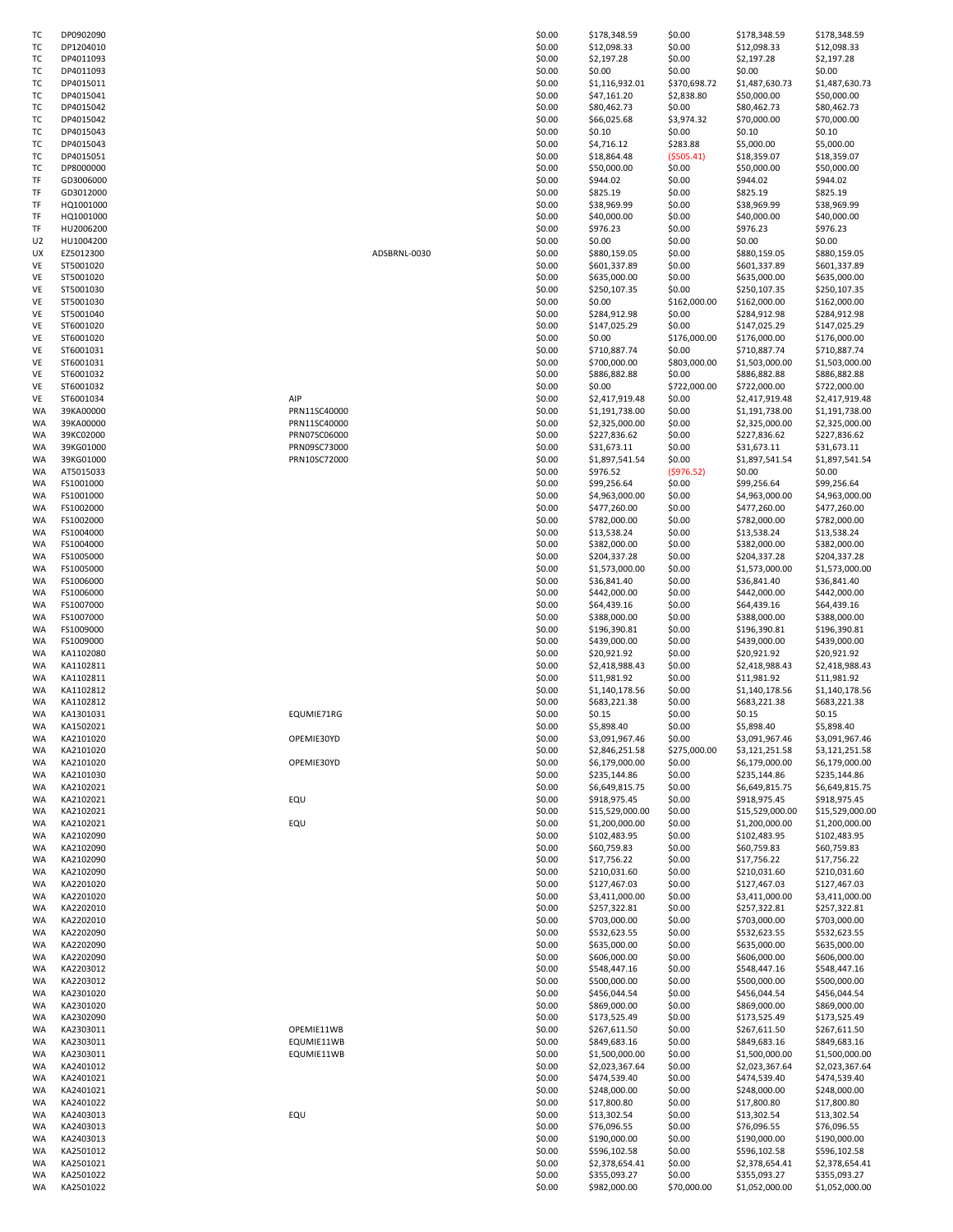| ТC | DP0902090 |              | \$0.00 | \$178,348.59    | \$0.00       | \$178,348.59    | \$178,348.59    |
|----|-----------|--------------|--------|-----------------|--------------|-----------------|-----------------|
| ТC |           |              | \$0.00 | \$12,098.33     | \$0.00       | \$12,098.33     | \$12,098.33     |
|    | DP1204010 |              |        |                 |              |                 |                 |
| ТC | DP4011093 |              | \$0.00 | \$2,197.28      | \$0.00       | \$2,197.28      | \$2,197.28      |
| тс | DP4011093 |              | \$0.00 | \$0.00          | \$0.00       | \$0.00          | \$0.00          |
| ТC | DP4015011 |              | \$0.00 | \$1,116,932.01  | \$370,698.72 | \$1,487,630.73  | \$1,487,630.73  |
| тс | DP4015041 |              | \$0.00 | \$47,161.20     | \$2,838.80   | \$50,000.00     | \$50,000.00     |
| ТC | DP4015042 |              | \$0.00 | \$80,462.73     | \$0.00       | \$80,462.73     | \$80,462.73     |
| тс | DP4015042 |              | \$0.00 | \$66,025.68     | \$3,974.32   | \$70,000.00     | \$70,000.00     |
| ТC | DP4015043 |              | \$0.00 | \$0.10          | \$0.00       | \$0.10          | \$0.10          |
| ТC | DP4015043 |              | \$0.00 | \$4,716.12      | \$283.88     | \$5,000.00      | \$5,000.00      |
| ТC | DP4015051 |              | \$0.00 | \$18,864.48     | ( \$505.41)  | \$18,359.07     | \$18,359.07     |
| ТC | DP8000000 |              | \$0.00 | \$50,000.00     | \$0.00       | \$50,000.00     | \$50,000.00     |
| TF | GD3006000 |              | \$0.00 | \$944.02        | \$0.00       | \$944.02        | \$944.02        |
| TF | GD3012000 |              | \$0.00 | \$825.19        | \$0.00       | \$825.19        | \$825.19        |
| TF | HQ1001000 |              | \$0.00 | \$38,969.99     | \$0.00       | \$38,969.99     | \$38,969.99     |
| TF | HQ1001000 |              | \$0.00 | \$40,000.00     | \$0.00       | \$40,000.00     | \$40,000.00     |
| TF | HU2006200 |              | \$0.00 | \$976.23        | \$0.00       | \$976.23        | \$976.23        |
| U2 | HU1004200 |              | \$0.00 | \$0.00          | \$0.00       | \$0.00          | \$0.00          |
| UΧ | EZ5012300 | ADSBRNL-0030 | \$0.00 | \$880,159.05    | \$0.00       | \$880,159.05    | \$880,159.05    |
|    | ST5001020 |              | \$0.00 | \$601,337.89    | \$0.00       | \$601,337.89    | \$601,337.89    |
| VE |           |              |        |                 |              |                 |                 |
| VE | ST5001020 |              | \$0.00 | \$635,000.00    | \$0.00       | \$635,000.00    | \$635,000.00    |
| VE | ST5001030 |              | \$0.00 | \$250,107.35    | \$0.00       | \$250,107.35    | \$250,107.35    |
| VE | ST5001030 |              | \$0.00 | \$0.00          | \$162,000.00 | \$162,000.00    | \$162,000.00    |
| VE | ST5001040 |              | \$0.00 | \$284,912.98    | \$0.00       | \$284,912.98    | \$284,912.98    |
| VE | ST6001020 |              | \$0.00 | \$147,025.29    | \$0.00       | \$147,025.29    | \$147,025.29    |
| VE | ST6001020 |              | \$0.00 | \$0.00          | \$176,000.00 | \$176,000.00    | \$176,000.00    |
| VE | ST6001031 |              | \$0.00 | \$710,887.74    | \$0.00       | \$710,887.74    | \$710,887.74    |
| VE | ST6001031 |              | \$0.00 | \$700,000.00    | \$803,000.00 | \$1,503,000.00  | \$1,503,000.00  |
| VE | ST6001032 |              | \$0.00 | \$886,882.88    | \$0.00       | \$886,882.88    | \$886,882.88    |
| VE | ST6001032 |              | \$0.00 | \$0.00          | \$722,000.00 | \$722,000.00    | \$722,000.00    |
| VE | ST6001034 | AIP          | \$0.00 | \$2,417,919.48  | \$0.00       | \$2,417,919.48  | \$2,417,919.48  |
| WA | 39KA00000 | PRN11SC40000 | \$0.00 | \$1,191,738.00  | \$0.00       | \$1,191,738.00  | \$1,191,738.00  |
| WA | 39KA00000 | PRN11SC40000 | \$0.00 | \$2,325,000.00  | \$0.00       | \$2,325,000.00  | \$2,325,000.00  |
| WA | 39KC02000 | PRN07SC06000 | \$0.00 | \$227,836.62    | \$0.00       | \$227,836.62    | \$227,836.62    |
| WA | 39KG01000 | PRN09SC73000 | \$0.00 | \$31,673.11     | \$0.00       | \$31,673.11     | \$31,673.11     |
| WA | 39KG01000 | PRN10SC72000 | \$0.00 | \$1,897,541.54  | \$0.00       | \$1,897,541.54  | \$1,897,541.54  |
|    | AT5015033 |              | \$0.00 | \$976.52        | (5976.52)    | \$0.00          | \$0.00          |
| WA |           |              |        |                 |              |                 |                 |
| WA | FS1001000 |              | \$0.00 | \$99,256.64     | \$0.00       | \$99,256.64     | \$99,256.64     |
| WA | FS1001000 |              | \$0.00 | \$4,963,000.00  | \$0.00       | \$4,963,000.00  | \$4,963,000.00  |
| WA | FS1002000 |              | \$0.00 | \$477,260.00    | \$0.00       | \$477,260.00    | \$477,260.00    |
| WA | FS1002000 |              | \$0.00 | \$782,000.00    | \$0.00       | \$782,000.00    | \$782,000.00    |
| WA | FS1004000 |              | \$0.00 | \$13,538.24     | \$0.00       | \$13,538.24     | \$13,538.24     |
| WA | FS1004000 |              | \$0.00 | \$382,000.00    | \$0.00       | \$382,000.00    | \$382,000.00    |
| WA | FS1005000 |              | \$0.00 | \$204,337.28    | \$0.00       | \$204,337.28    | \$204,337.28    |
| WA | FS1005000 |              | \$0.00 | \$1,573,000.00  | \$0.00       | \$1,573,000.00  | \$1,573,000.00  |
| WA | FS1006000 |              | \$0.00 | \$36,841.40     | \$0.00       | \$36,841.40     | \$36,841.40     |
| WA | FS1006000 |              | \$0.00 | \$442,000.00    | \$0.00       | \$442,000.00    | \$442,000.00    |
| WA | FS1007000 |              | \$0.00 | \$64,439.16     | \$0.00       | \$64,439.16     | \$64,439.16     |
| WA | FS1007000 |              | \$0.00 | \$388,000.00    | \$0.00       | \$388,000.00    | \$388,000.00    |
| WA | FS1009000 |              | \$0.00 | \$196,390.81    | \$0.00       | \$196,390.81    | \$196,390.81    |
| WA | FS1009000 |              | \$0.00 | \$439,000.00    | \$0.00       | \$439,000.00    | \$439,000.00    |
| WA | KA1102080 |              | \$0.00 | \$20,921.92     | \$0.00       | \$20,921.92     | \$20,921.92     |
| WA | KA1102811 |              | \$0.00 | \$2,418,988.43  | \$0.00       | \$2,418,988.43  | \$2,418,988.43  |
| WA | KA1102811 |              | \$0.00 | \$11,981.92     | \$0.00       | \$11,981.92     | \$11,981.92     |
|    |           |              |        |                 |              |                 |                 |
| WA | KA1102812 |              | \$0.00 | \$1,140,178.56  | \$0.00       | \$1,140,178.56  | \$1,140,178.56  |
| WA | KA1102812 |              | \$0.00 | \$683,221.38    | \$0.00       | \$683,221.38    | \$683,221.38    |
| WA | KA1301031 | EQUMIE71RG   | \$0.00 | \$0.15          | \$0.00       | \$0.15          | \$0.15          |
| WA | KA1502021 |              | \$0.00 | \$5,898.40      | \$0.00       | \$5,898.40      | \$5,898.40      |
| WA | KA2101020 | OPEMIE30YD   | \$0.00 | \$3,091,967.46  | \$0.00       | \$3,091,967.46  | \$3,091,967.46  |
| WA | KA2101020 |              | \$0.00 | \$2,846,251.58  | \$275,000.00 | \$3,121,251.58  | \$3,121,251.58  |
| WA | KA2101020 | OPEMIE30YD   | \$0.00 | \$6,179,000.00  | \$0.00       | \$6,179,000.00  | \$6,179,000.00  |
| WA | KA2101030 |              | \$0.00 | \$235,144.86    | \$0.00       | \$235,144.86    | \$235,144.86    |
| WA | KA2102021 |              | \$0.00 | \$6,649,815.75  | \$0.00       | \$6,649,815.75  | \$6,649,815.75  |
| WA | KA2102021 | EQU          | \$0.00 | \$918,975.45    | \$0.00       | \$918,975.45    | \$918,975.45    |
| WA | KA2102021 |              | \$0.00 | \$15,529,000.00 | \$0.00       | \$15,529,000.00 | \$15,529,000.00 |
| WA | KA2102021 | EQU          | \$0.00 | \$1,200,000.00  | \$0.00       | \$1,200,000.00  | \$1,200,000.00  |
| WA | KA2102090 |              | \$0.00 | \$102,483.95    | \$0.00       | \$102,483.95    | \$102,483.95    |
| WA | KA2102090 |              | \$0.00 | \$60,759.83     | \$0.00       | \$60,759.83     | \$60,759.83     |
| WA | KA2102090 |              | \$0.00 | \$17,756.22     | \$0.00       | \$17,756.22     | \$17,756.22     |
| WA | KA2102090 |              | \$0.00 | \$210,031.60    | \$0.00       | \$210,031.60    | \$210,031.60    |
| WA | KA2201020 |              | \$0.00 | \$127,467.03    | \$0.00       | \$127,467.03    | \$127,467.03    |
| WA | KA2201020 |              | \$0.00 | \$3,411,000.00  | \$0.00       | \$3,411,000.00  | \$3,411,000.00  |
| WA | KA2202010 |              | \$0.00 | \$257,322.81    | \$0.00       | \$257,322.81    | \$257,322.81    |
| WA | KA2202010 |              | \$0.00 | \$703,000.00    | \$0.00       | \$703,000.00    | \$703,000.00    |
| WA | KA2202090 |              | \$0.00 | \$532,623.55    | \$0.00       | \$532,623.55    | \$532,623.55    |
|    | KA2202090 |              | \$0.00 | \$635,000.00    | \$0.00       | \$635,000.00    | \$635,000.00    |
| WA | KA2202090 |              | \$0.00 |                 |              | \$606,000.00    |                 |
| WA |           |              |        | \$606,000.00    | \$0.00       |                 | \$606,000.00    |
| WA | KA2203012 |              | \$0.00 | \$548,447.16    | \$0.00       | \$548,447.16    | \$548,447.16    |
| WA | KA2203012 |              | \$0.00 | \$500,000.00    | \$0.00       | \$500,000.00    | \$500,000.00    |
| WA | KA2301020 |              | \$0.00 | \$456,044.54    | \$0.00       | \$456,044.54    | \$456,044.54    |
| WA | KA2301020 |              | \$0.00 | \$869,000.00    | \$0.00       | \$869,000.00    | \$869,000.00    |
| WA | KA2302090 |              | \$0.00 | \$173,525.49    | \$0.00       | \$173,525.49    | \$173,525.49    |
| WA | KA2303011 | OPEMIE11WB   | \$0.00 | \$267,611.50    | \$0.00       | \$267,611.50    | \$267,611.50    |
| WA | KA2303011 | EQUMIE11WB   | \$0.00 | \$849,683.16    | \$0.00       | \$849,683.16    | \$849,683.16    |
| WA | KA2303011 | EQUMIE11WB   | \$0.00 | \$1,500,000.00  | \$0.00       | \$1,500,000.00  | \$1,500,000.00  |
| WA | KA2401012 |              | \$0.00 | \$2,023,367.64  | \$0.00       | \$2,023,367.64  | \$2,023,367.64  |
| WA | KA2401021 |              | \$0.00 | \$474,539.40    | \$0.00       | \$474,539.40    | \$474,539.40    |
| WA | KA2401021 |              | \$0.00 | \$248,000.00    | \$0.00       | \$248,000.00    | \$248,000.00    |
| WA | KA2401022 |              | \$0.00 | \$17,800.80     | \$0.00       | \$17,800.80     | \$17,800.80     |
| WA | KA2403013 | EQU          | \$0.00 | \$13,302.54     | \$0.00       | \$13,302.54     | \$13,302.54     |
| WA | KA2403013 |              | \$0.00 | \$76,096.55     | \$0.00       | \$76,096.55     | \$76,096.55     |
| WA | KA2403013 |              | \$0.00 | \$190,000.00    | \$0.00       | \$190,000.00    | \$190,000.00    |
| WA | KA2501012 |              | \$0.00 | \$596,102.58    | \$0.00       | \$596,102.58    | \$596,102.58    |
|    |           |              |        |                 |              |                 |                 |
| WA | KA2501021 |              | \$0.00 | \$2,378,654.41  | \$0.00       | \$2,378,654.41  | \$2,378,654.41  |
| WA | KA2501022 |              | \$0.00 | \$355,093.27    | \$0.00       | \$355,093.27    | \$355,093.27    |
| WA | KA2501022 |              | \$0.00 | \$982,000.00    | \$70,000.00  | \$1,052,000.00  | \$1,052,000.00  |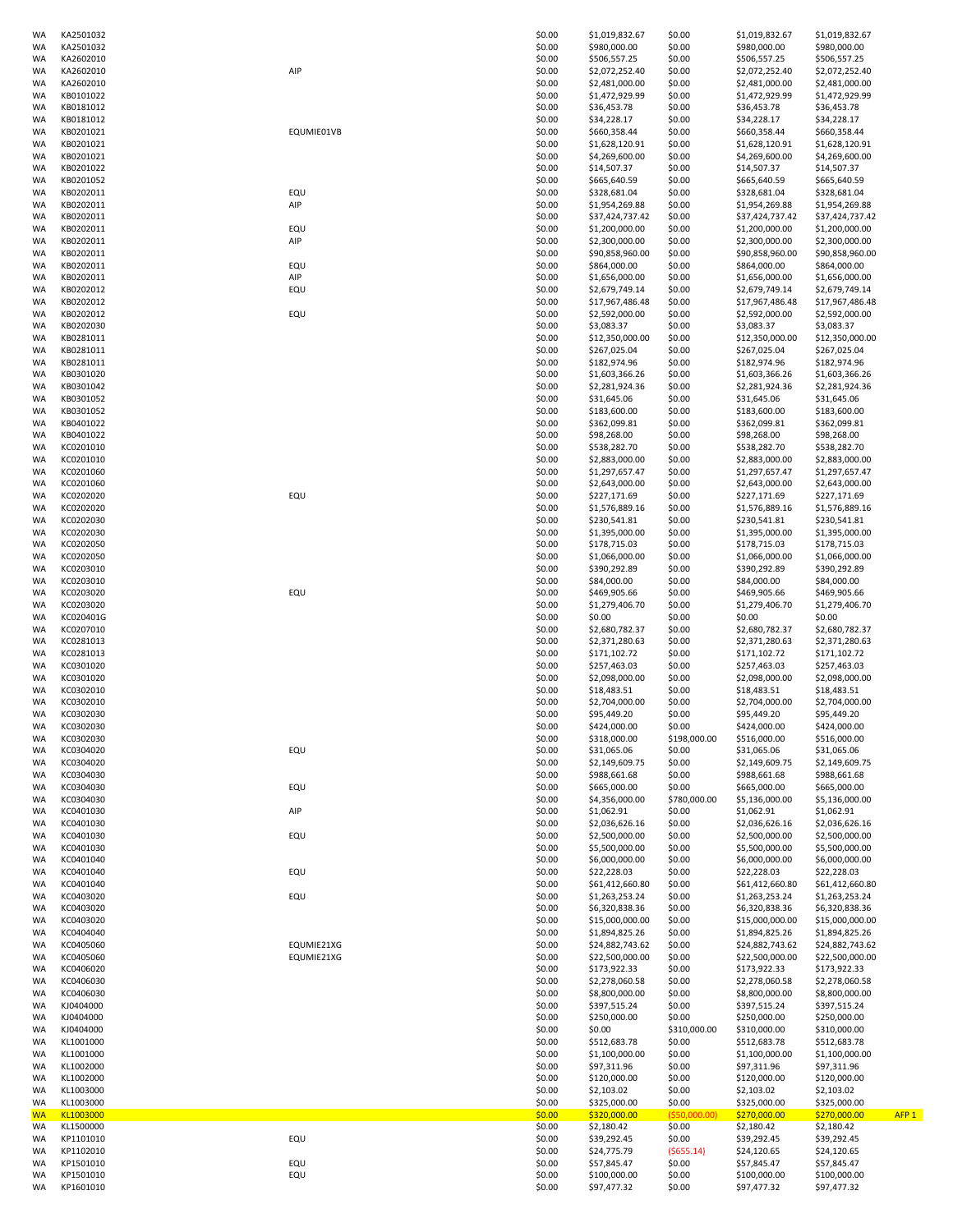| <b>WA</b>       | KA2501032              |            | \$0.00           | \$1,019,832.67                   | \$0.00                 | \$1,019,832.67                   | \$1,019,832.67                   |
|-----------------|------------------------|------------|------------------|----------------------------------|------------------------|----------------------------------|----------------------------------|
| WA              | KA2501032              |            | \$0.00           | \$980,000.00                     | \$0.00                 | \$980,000.00                     | \$980,000.00                     |
| WA              | KA2602010              |            | \$0.00           | \$506,557.25                     | \$0.00                 | \$506,557.25                     | \$506,557.25                     |
| WA              | KA2602010              | AIP        | \$0.00           | \$2,072,252.40                   | \$0.00                 | \$2,072,252.40                   | \$2,072,252.40                   |
| WA              | KA2602010              |            | \$0.00           | \$2,481,000.00                   | \$0.00                 | \$2,481,000.00                   | \$2,481,000.00                   |
| <b>WA</b><br>WA | KB0101022<br>KB0181012 |            | \$0.00<br>\$0.00 | \$1,472,929.99<br>\$36,453.78    | \$0.00<br>\$0.00       | \$1,472,929.99<br>\$36,453.78    | \$1,472,929.99<br>\$36,453.78    |
| WA              | KB0181012              |            | \$0.00           | \$34,228.17                      | \$0.00                 | \$34,228.17                      | \$34,228.17                      |
| <b>WA</b>       | KB0201021              | EQUMIE01VB | \$0.00           | \$660,358.44                     | \$0.00                 | \$660,358.44                     | \$660,358.44                     |
| <b>WA</b>       | KB0201021              |            | \$0.00           | \$1,628,120.91                   | \$0.00                 | \$1,628,120.91                   | \$1,628,120.91                   |
| <b>WA</b>       | KB0201021              |            | \$0.00           | \$4,269,600.00                   | \$0.00                 | \$4,269,600.00                   | \$4,269,600.00                   |
| WA              | KB0201022              |            | \$0.00           | \$14,507.37                      | \$0.00                 | \$14,507.37                      | \$14,507.37                      |
| WA              | KB0201052              |            | \$0.00           | \$665,640.59                     | \$0.00                 | \$665,640.59                     | \$665,640.59                     |
| WA              | KB0202011              | EQU        | \$0.00           | \$328,681.04                     | \$0.00                 | \$328,681.04                     | \$328,681.04                     |
| WA              | KB0202011              | AIP        | \$0.00           | \$1,954,269.88                   | \$0.00                 | \$1,954,269.88                   | \$1,954,269.88                   |
| <b>WA</b>       | KB0202011              |            | \$0.00           | \$37,424,737.42                  | \$0.00                 | \$37,424,737.42                  | \$37,424,737.42                  |
| WA              | KB0202011              | EQU        | \$0.00           | \$1,200,000.00                   | \$0.00                 | \$1,200,000.00                   | \$1,200,000.00                   |
| WA              | KB0202011              | AIP        | \$0.00           | \$2,300,000.00                   | \$0.00                 | \$2,300,000.00                   | \$2,300,000.00                   |
| <b>WA</b>       | KB0202011              |            | \$0.00           | \$90,858,960.00                  | \$0.00                 | \$90,858,960.00                  | \$90,858,960.00                  |
| <b>WA</b>       | KB0202011              | EQU        | \$0.00           | \$864,000.00                     | \$0.00                 | \$864,000.00                     | \$864,000.00                     |
| <b>WA</b><br>WA | KB0202011<br>KB0202012 | AIP<br>EQU | \$0.00<br>\$0.00 | \$1,656,000.00<br>\$2,679,749.14 | \$0.00<br>\$0.00       | \$1,656,000.00<br>\$2,679,749.14 | \$1,656,000.00<br>\$2,679,749.14 |
| WA              | KB0202012              |            | \$0.00           | \$17,967,486.48                  | \$0.00                 | \$17,967,486.48                  | \$17,967,486.48                  |
| WA              | KB0202012              | EQU        | \$0.00           | \$2,592,000.00                   | \$0.00                 | \$2,592,000.00                   | \$2,592,000.00                   |
| WA              | KB0202030              |            | \$0.00           | \$3,083.37                       | \$0.00                 | \$3,083.37                       | \$3,083.37                       |
| WA              | KB0281011              |            | \$0.00           | \$12,350,000.00                  | \$0.00                 | \$12,350,000.00                  | \$12,350,000.00                  |
| WA              | KB0281011              |            | \$0.00           | \$267,025.04                     | \$0.00                 | \$267,025.04                     | \$267,025.04                     |
| WA              | KB0281011              |            | \$0.00           | \$182,974.96                     | \$0.00                 | \$182,974.96                     | \$182,974.96                     |
| <b>WA</b>       | KB0301020              |            | \$0.00           | \$1,603,366.26                   | \$0.00                 | \$1,603,366.26                   | \$1,603,366.26                   |
| <b>WA</b>       | KB0301042              |            | \$0.00           | \$2,281,924.36                   | \$0.00                 | \$2,281,924.36                   | \$2,281,924.36                   |
| WA              | KB0301052              |            | \$0.00           | \$31,645.06                      | \$0.00                 | \$31,645.06                      | \$31,645.06                      |
| WA              | KB0301052              |            | \$0.00           | \$183,600.00                     | \$0.00                 | \$183,600.00                     | \$183,600.00                     |
| WA              | KB0401022              |            | \$0.00           | \$362,099.81                     | \$0.00                 | \$362,099.81                     | \$362,099.81                     |
| WA              | KB0401022              |            | \$0.00           | \$98,268.00                      | \$0.00                 | \$98,268.00                      | \$98,268.00                      |
| WA              | KC0201010              |            | \$0.00           | \$538,282.70                     | \$0.00                 | \$538,282.70                     | \$538,282.70                     |
| WA              | KC0201010              |            | \$0.00           | \$2,883,000.00                   | \$0.00                 | \$2,883,000.00                   | \$2,883,000.00                   |
| WA              | KC0201060              |            | \$0.00           | \$1,297,657.47                   | \$0.00                 | \$1,297,657.47                   | \$1,297,657.47                   |
| WA<br><b>WA</b> | KC0201060<br>KC0202020 | EQU        | \$0.00<br>\$0.00 | \$2,643,000.00<br>\$227,171.69   | \$0.00<br>\$0.00       | \$2,643,000.00<br>\$227,171.69   | \$2,643,000.00<br>\$227,171.69   |
| <b>WA</b>       | KC0202020              |            | \$0.00           | \$1,576,889.16                   | \$0.00                 | \$1,576,889.16                   | \$1,576,889.16                   |
| WA              | KC0202030              |            | \$0.00           | \$230,541.81                     | \$0.00                 | \$230,541.81                     | \$230,541.81                     |
| WA              | KC0202030              |            | \$0.00           | \$1,395,000.00                   | \$0.00                 | \$1,395,000.00                   | \$1,395,000.00                   |
| WA              | KC0202050              |            | \$0.00           | \$178,715.03                     | \$0.00                 | \$178,715.03                     | \$178,715.03                     |
| WA              | KC0202050              |            | \$0.00           | \$1,066,000.00                   | \$0.00                 | \$1,066,000.00                   | \$1,066,000.00                   |
| <b>WA</b>       | KC0203010              |            | \$0.00           | \$390,292.89                     | \$0.00                 | \$390,292.89                     | \$390,292.89                     |
| WA              | KC0203010              |            | \$0.00           | \$84,000.00                      | \$0.00                 | \$84,000.00                      | \$84,000.00                      |
| WA              | KC0203020              | EQU        | \$0.00           | \$469,905.66                     | \$0.00                 | \$469,905.66                     | \$469,905.66                     |
| WA              | KC0203020              |            | \$0.00           | \$1,279,406.70                   | \$0.00                 | \$1,279,406.70                   | \$1,279,406.70                   |
| <b>WA</b>       | KC020401G              |            | \$0.00           | \$0.00                           | \$0.00                 | \$0.00                           | \$0.00                           |
| <b>WA</b>       | KC0207010              |            | \$0.00           | \$2,680,782.37                   | \$0.00                 | \$2,680,782.37                   | \$2,680,782.37                   |
| WA              | KC0281013              |            | \$0.00           | \$2,371,280.63                   | \$0.00                 | \$2,371,280.63                   | \$2,371,280.63                   |
| WA              | KC0281013              |            | \$0.00           | \$171,102.72                     | \$0.00                 | \$171,102.72                     | \$171,102.72                     |
| WA              | KC0301020              |            | \$0.00           | \$257,463.03                     | \$0.00                 | \$257,463.03                     | \$257,463.03                     |
| WA              | KC0301020              |            | \$0.00           | \$2,098,000.00                   | \$0.00                 | \$2,098,000.00                   | \$2,098,000.00                   |
| WA<br>WA        | KC0302010<br>KC0302010 |            | \$0.00<br>\$0.00 | \$18,483.51<br>\$2,704,000.00    | \$0.00<br>\$0.00       | \$18,483.51<br>\$2,704,000.00    | \$18,483.51<br>\$2,704,000.00    |
| WA              | KC0302030              |            | \$0.00           | \$95,449.20                      | \$0.00                 | \$95,449.20                      | \$95,449.20                      |
| WA              | KC0302030              |            | \$0.00           | \$424,000.00                     | \$0.00                 | \$424,000.00                     | \$424,000.00                     |
| <b>WA</b>       | KC0302030              |            | \$0.00           | \$318,000.00                     | \$198,000.00           | \$516,000.00                     | \$516,000.00                     |
| <b>WA</b>       | KC0304020              | EQU        | \$0.00           | \$31,065.06                      | \$0.00                 | \$31,065.06                      | \$31,065.06                      |
| WA              | KC0304020              |            | \$0.00           | \$2,149,609.75                   | \$0.00                 | \$2,149,609.75                   | \$2,149,609.75                   |
| WA              | KC0304030              |            | \$0.00           | \$988,661.68                     | \$0.00                 | \$988,661.68                     | \$988,661.68                     |
| WA              | KC0304030              | EQU        | \$0.00           | \$665,000.00                     | \$0.00                 | \$665,000.00                     | \$665,000.00                     |
| WA              | KC0304030              |            | \$0.00           | \$4,356,000.00                   | \$780,000.00           | \$5,136,000.00                   | \$5,136,000.00                   |
| <b>WA</b>       | KC0401030              | AIP        | \$0.00           | \$1,062.91                       | \$0.00                 | \$1,062.91                       | \$1,062.91                       |
| WA              | KC0401030              |            | \$0.00           | \$2,036,626.16                   | \$0.00                 | \$2,036,626.16                   | \$2,036,626.16                   |
| WA              | KC0401030              | EQU        | \$0.00           | \$2,500,000.00                   | \$0.00                 | \$2,500,000.00                   | \$2,500,000.00                   |
| WA<br><b>WA</b> | KC0401030              |            | \$0.00<br>\$0.00 | \$5,500,000.00                   | \$0.00                 | \$5,500,000.00<br>\$6,000,000.00 | \$5,500,000.00                   |
| <b>WA</b>       | KC0401040<br>KC0401040 | EQU        | \$0.00           | \$6,000,000.00<br>\$22,228.03    | \$0.00<br>\$0.00       | \$22,228.03                      | \$6,000,000.00<br>\$22,228.03    |
| WA              | KC0401040              |            | \$0.00           | \$61,412,660.80                  | \$0.00                 | \$61,412,660.80                  | \$61,412,660.80                  |
| WA              | KC0403020              | EQU        | \$0.00           | \$1,263,253.24                   | \$0.00                 | \$1,263,253.24                   | \$1,263,253.24                   |
| <b>WA</b>       | KC0403020              |            | \$0.00           | \$6,320,838.36                   | \$0.00                 | \$6,320,838.36                   | \$6,320,838.36                   |
| WA              | KC0403020              |            | \$0.00           | \$15,000,000.00                  | \$0.00                 | \$15,000,000.00                  | \$15,000,000.00                  |
| WA              | KC0404040              |            | \$0.00           | \$1,894,825.26                   | \$0.00                 | \$1,894,825.26                   | \$1,894,825.26                   |
| WA              | KC0405060              | EQUMIE21XG | \$0.00           | \$24,882,743.62                  | \$0.00                 | \$24,882,743.62                  | \$24,882,743.62                  |
| WA              | KC0405060              | EQUMIE21XG | \$0.00           | \$22,500,000.00                  | \$0.00                 | \$22,500,000.00                  | \$22,500,000.00                  |
| WA              | KC0406020              |            | \$0.00           | \$173,922.33                     | \$0.00                 | \$173,922.33                     | \$173,922.33                     |
| <b>WA</b>       | KC0406030              |            | \$0.00           | \$2,278,060.58                   | \$0.00                 | \$2,278,060.58                   | \$2,278,060.58                   |
| <b>WA</b>       | KC0406030              |            | \$0.00           | \$8,800,000.00                   | \$0.00                 | \$8,800,000.00                   | \$8,800,000.00                   |
| WA              | KJ0404000              |            | \$0.00           | \$397,515.24                     | \$0.00                 | \$397,515.24                     | \$397,515.24                     |
| WA              | KJ0404000              |            | \$0.00           | \$250,000.00                     | \$0.00                 | \$250,000.00                     | \$250,000.00                     |
| WA<br><b>WA</b> | KJ0404000<br>KL1001000 |            | \$0.00<br>\$0.00 | \$0.00                           | \$310,000.00<br>\$0.00 | \$310,000.00                     | \$310,000.00                     |
| <b>WA</b>       | KL1001000              |            | \$0.00           | \$512,683.78<br>\$1,100,000.00   | \$0.00                 | \$512,683.78<br>\$1,100,000.00   | \$512,683.78<br>\$1,100,000.00   |
| WA              | KL1002000              |            | \$0.00           | \$97,311.96                      | \$0.00                 | \$97,311.96                      | \$97,311.96                      |
| WA              | KL1002000              |            | \$0.00           | \$120,000.00                     | \$0.00                 | \$120,000.00                     | \$120,000.00                     |
| WA              | KL1003000              |            | \$0.00           | \$2,103.02                       | \$0.00                 | \$2,103.02                       | \$2,103.02                       |
| WA              | KL1003000              |            | \$0.00           | \$325,000.00                     | \$0.00                 | \$325,000.00                     | \$325,000.00                     |
| <b>WA</b>       | KL1003000              |            | \$0.00           | \$320,000.00                     | ( \$50,000.00)         | \$270,000.00                     | \$270,000.00<br>AFP <sub>1</sub> |
| WA              | KL1500000              |            | \$0.00           | \$2,180.42                       | \$0.00                 | \$2,180.42                       | \$2,180.42                       |
| WA              | KP1101010              | EQU        | \$0.00           | \$39,292.45                      | \$0.00                 | \$39,292.45                      | \$39,292.45                      |
| WA              | KP1102010              |            | \$0.00           | \$24,775.79                      | $($ \$655.14)          | \$24,120.65                      | \$24,120.65                      |
| <b>WA</b>       | KP1501010              | EQU        | \$0.00           | \$57,845.47                      | \$0.00                 | \$57,845.47                      | \$57,845.47                      |
| WA              | KP1501010              | EQU        | \$0.00           | \$100,000.00                     | \$0.00                 | \$100,000.00                     | \$100,000.00                     |
| WA              | KP1601010              |            | \$0.00           | \$97,477.32                      | \$0.00                 | \$97,477.32                      | \$97,477.32                      |